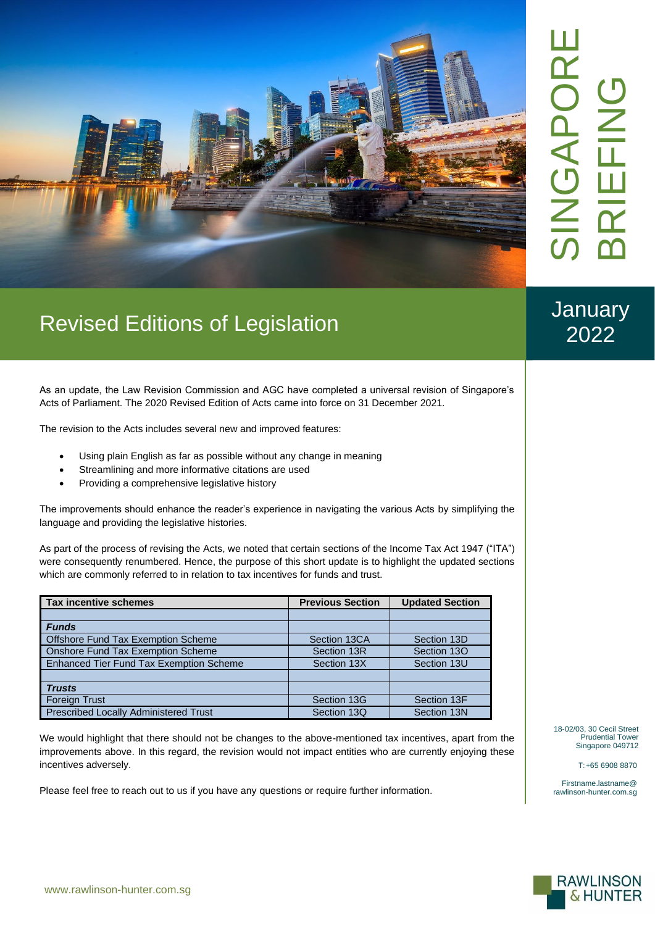

**January** 2022

## Revised Editions of Legislation

As an update, the Law Revision Commission and AGC have completed a universal revision of Singapore's Acts of Parliament. The 2020 Revised Edition of Acts came into force on 31 December 2021.

The revision to the Acts includes several new and improved features:

- Using plain English as far as possible without any change in meaning
- Streamlining and more informative citations are used
- Providing a comprehensive legislative history

The improvements should enhance the reader's experience in navigating the various Acts by simplifying the language and providing the legislative histories.

As part of the process of revising the Acts, we noted that certain sections of the Income Tax Act 1947 ("ITA") were consequently renumbered. Hence, the purpose of this short update is to highlight the updated sections which are commonly referred to in relation to tax incentives for funds and trust.

| <b>Tax incentive schemes</b>                   | <b>Previous Section</b> | <b>Updated Section</b> |
|------------------------------------------------|-------------------------|------------------------|
|                                                |                         |                        |
| <b>Funds</b>                                   |                         |                        |
| <b>Offshore Fund Tax Exemption Scheme</b>      | Section 13CA            | Section 13D            |
| Onshore Fund Tax Exemption Scheme              | Section 13R             | Section 13O            |
| <b>Enhanced Tier Fund Tax Exemption Scheme</b> | Section 13X             | Section 13U            |
|                                                |                         |                        |
| <b>Trusts</b>                                  |                         |                        |
| Foreign Trust                                  | Section 13G             | Section 13F            |
| <b>Prescribed Locally Administered Trust</b>   | Section 13Q             | Section 13N            |

We would highlight that there should not be changes to the above-mentioned tax incentives, apart from the improvements above. In this regard, the revision would not impact entities who are currently enjoying these incentives adversely.

Please feel free to reach out to us if you have any questions or require further information.

18-02/03, 30 Cecil Street Prudential Tower Singapore 049712

T:+65 6908 8870

Firstname.lastname@ rawlinson-hunter.com.sg